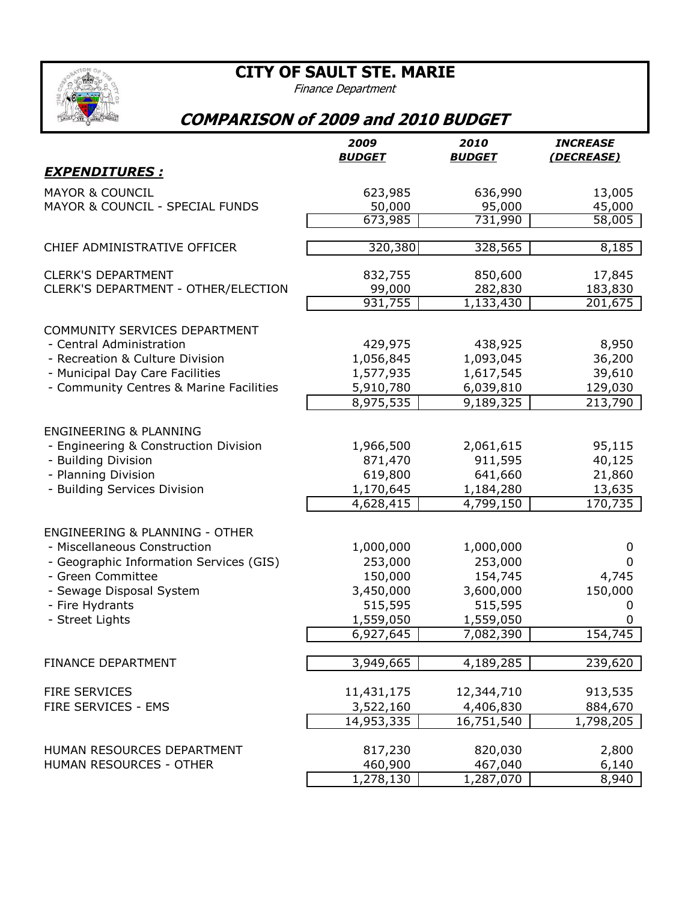**CITY OF SAULT STE. MARIE**



Finance Department

## **COMPARISON of 2009 and 2010 BUDGET**

|                                           | 2009<br><b>BUDGET</b>   | 2010<br><u>BUDGET</u> | <b>INCREASE</b><br>(DECREASE) |
|-------------------------------------------|-------------------------|-----------------------|-------------------------------|
| <b>EXPENDITURES :</b>                     |                         |                       |                               |
| <b>MAYOR &amp; COUNCIL</b>                | 623,985                 | 636,990               | 13,005                        |
| MAYOR & COUNCIL - SPECIAL FUNDS           | 50,000                  | 95,000                | 45,000                        |
|                                           | 673,985                 | 731,990               | 58,005                        |
| CHIEF ADMINISTRATIVE OFFICER              | 320,380                 | 328,565               | 8,185                         |
| <b>CLERK'S DEPARTMENT</b>                 | 832,755                 | 850,600               | 17,845                        |
| CLERK'S DEPARTMENT - OTHER/ELECTION       | 99,000                  | 282,830               | 183,830                       |
|                                           | 931,755                 | 1,133,430             | 201,675                       |
| COMMUNITY SERVICES DEPARTMENT             |                         |                       |                               |
| - Central Administration                  | 429,975                 | 438,925               | 8,950                         |
| - Recreation & Culture Division           | 1,056,845               | 1,093,045             | 36,200                        |
| - Municipal Day Care Facilities           | 1,577,935               | 1,617,545             | 39,610                        |
| - Community Centres & Marine Facilities   | 5,910,780               | 6,039,810             | 129,030                       |
|                                           | 8,975,535               | 9,189,325             | 213,790                       |
| <b>ENGINEERING &amp; PLANNING</b>         |                         |                       |                               |
| - Engineering & Construction Division     | 1,966,500               | 2,061,615             | 95,115                        |
| - Building Division                       | 871,470                 | 911,595               | 40,125                        |
| - Planning Division                       | 619,800                 | 641,660               | 21,860                        |
| - Building Services Division              | 1,170,645               | 1,184,280             | 13,635                        |
|                                           | 4,628,415               | 4,799,150             | 170,735                       |
| <b>ENGINEERING &amp; PLANNING - OTHER</b> |                         |                       |                               |
| - Miscellaneous Construction              | 1,000,000               | 1,000,000             | 0                             |
| - Geographic Information Services (GIS)   | 253,000                 | 253,000               | 0                             |
| - Green Committee                         | 150,000                 | 154,745               | 4,745                         |
| - Sewage Disposal System                  | 3,450,000               | 3,600,000             | 150,000                       |
| - Fire Hydrants                           | 515,595                 | 515,595               | 0                             |
| - Street Lights                           | 1,559,050               | 1,559,050             | 0                             |
|                                           | 6,927,645               | 7,082,390             | 154,745                       |
| <b>FINANCE DEPARTMENT</b>                 | 3,949,665               | 4,189,285             | 239,620                       |
|                                           |                         |                       |                               |
| <b>FIRE SERVICES</b>                      | 11,431,175              | 12,344,710            | 913,535                       |
| FIRE SERVICES - EMS                       | 3,522,160               | 4,406,830             | 884,670                       |
|                                           | 14,953,335              | 16,751,540            | 1,798,205                     |
| HUMAN RESOURCES DEPARTMENT                | 817,230                 | 820,030               | 2,800                         |
| HUMAN RESOURCES - OTHER                   | 460,900                 | 467,040               | 6,140                         |
|                                           | $\overline{1,}$ 278,130 | 1,287,070             | 8,940                         |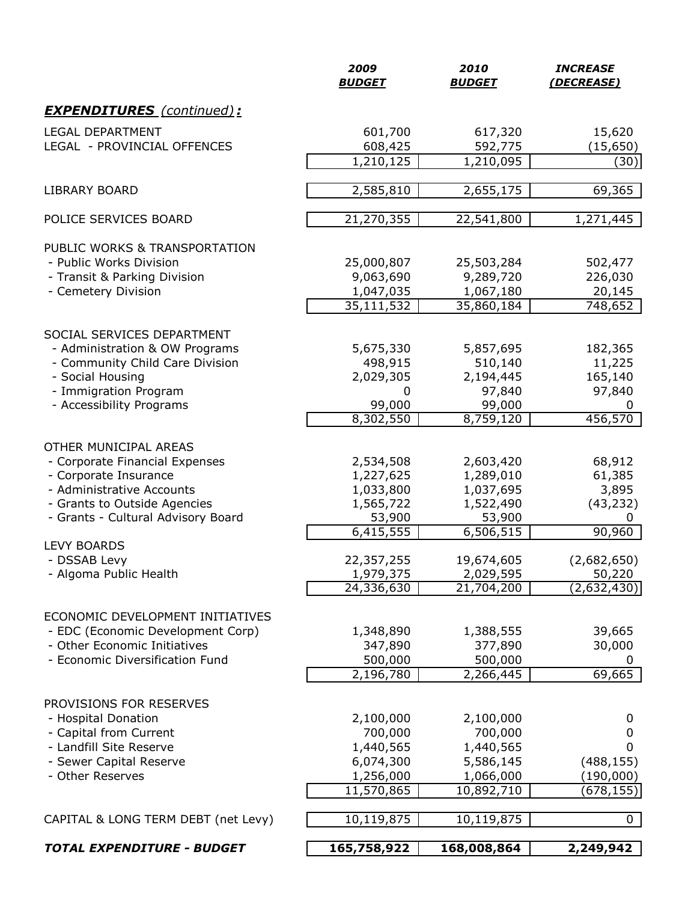|                                     | 2009<br><b>BUDGET</b>   | 2010<br><b>BUDGET</b>   | <b>INCREASE</b><br>(DECREASE) |
|-------------------------------------|-------------------------|-------------------------|-------------------------------|
| <b>EXPENDITURES</b> (continued):    |                         |                         |                               |
| <b>LEGAL DEPARTMENT</b>             | 601,700                 | 617,320                 | 15,620                        |
| LEGAL - PROVINCIAL OFFENCES         | 608,425                 | 592,775                 | (15, 650)                     |
|                                     | 1,210,125               | 1,210,095               | (30)                          |
| <b>LIBRARY BOARD</b>                | 2,585,810               | 2,655,175               | 69,365                        |
| POLICE SERVICES BOARD               | 21,270,355              | 22,541,800              | 1,271,445                     |
| PUBLIC WORKS & TRANSPORTATION       |                         |                         |                               |
| - Public Works Division             | 25,000,807              | 25,503,284              | 502,477                       |
| - Transit & Parking Division        | 9,063,690               | 9,289,720               | 226,030                       |
| - Cemetery Division                 | 1,047,035               | 1,067,180               | 20,145                        |
|                                     | 35,111,532              | 35,860,184              | 748,652                       |
| SOCIAL SERVICES DEPARTMENT          |                         |                         |                               |
| - Administration & OW Programs      | 5,675,330               | 5,857,695               | 182,365                       |
| - Community Child Care Division     | 498,915                 | 510,140                 | 11,225                        |
| - Social Housing                    | 2,029,305               | 2,194,445               | 165,140                       |
| - Immigration Program               | 0                       | 97,840                  | 97,840                        |
| - Accessibility Programs            | 99,000                  | 99,000                  | 0                             |
|                                     | 8,302,550               | 8,759,120               | 456,570                       |
| OTHER MUNICIPAL AREAS               |                         |                         |                               |
| - Corporate Financial Expenses      | 2,534,508               | 2,603,420               | 68,912                        |
| - Corporate Insurance               | 1,227,625               | 1,289,010               | 61,385                        |
| - Administrative Accounts           | 1,033,800               | 1,037,695               | 3,895                         |
| - Grants to Outside Agencies        | 1,565,722               | 1,522,490               | (43, 232)                     |
| - Grants - Cultural Advisory Board  | 53,900                  | 53,900                  | 0                             |
|                                     | 6,415,555               | 6,506,515               | 90,960                        |
| <b>LEVY BOARDS</b><br>- DSSAB Levy  |                         |                         |                               |
| - Algoma Public Health              | 22,357,255<br>1,979,375 | 19,674,605<br>2,029,595 | (2,682,650)<br>50,220         |
|                                     | 24,336,630              | 21,704,200              | (2,632,430)                   |
|                                     |                         |                         |                               |
| ECONOMIC DEVELOPMENT INITIATIVES    |                         |                         |                               |
| - EDC (Economic Development Corp)   | 1,348,890               | 1,388,555               | 39,665                        |
| - Other Economic Initiatives        | 347,890                 | 377,890                 | 30,000                        |
| - Economic Diversification Fund     | 500,000<br>2,196,780    | 500,000<br>2,266,445    | 0<br>69,665                   |
|                                     |                         |                         |                               |
| PROVISIONS FOR RESERVES             |                         |                         |                               |
| - Hospital Donation                 | 2,100,000               | 2,100,000               | 0                             |
| - Capital from Current              | 700,000                 | 700,000                 | 0                             |
| - Landfill Site Reserve             | 1,440,565               | 1,440,565               | 0                             |
| - Sewer Capital Reserve             | 6,074,300               | 5,586,145               | (488, 155)                    |
| - Other Reserves                    | 1,256,000               | 1,066,000               | (190,000)                     |
|                                     | 11,570,865              | 10,892,710              | (678, 155)                    |
| CAPITAL & LONG TERM DEBT (net Levy) | 10,119,875              | 10,119,875              | 0                             |
| <b>TOTAL EXPENDITURE - BUDGET</b>   | 165,758,922             | 168,008,864             | 2,249,942                     |